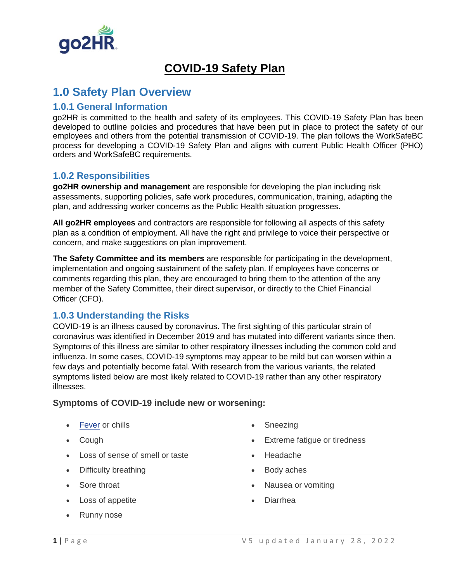

# **COVID-19 Safety Plan**

## **1.0 Safety Plan Overview**

### **1.0.1 General Information**

go2HR is committed to the health and safety of its employees. This COVID-19 Safety Plan has been developed to outline policies and procedures that have been put in place to protect the safety of our employees and others from the potential transmission of COVID-19. The plan follows the WorkSafeBC process for developing a COVID-19 Safety Plan and aligns with current Public Health Officer (PHO) orders and WorkSafeBC requirements.

#### **1.0.2 Responsibilities**

**go2HR ownership and management** are responsible for developing the plan including risk assessments, supporting policies, safe work procedures, communication, training, adapting the plan, and addressing worker concerns as the Public Health situation progresses.

**All go2HR employees** and contractors are responsible for following all aspects of this safety plan as a condition of employment. All have the right and privilege to voice their perspective or concern, and make suggestions on plan improvement.

**The Safety Committee and its members** are responsible for participating in the development, implementation and ongoing sustainment of the safety plan. If employees have concerns or comments regarding this plan, they are encouraged to bring them to the attention of the any member of the Safety Committee, their direct supervisor, or directly to the Chief Financial Officer (CFO).

### **1.0.3 Understanding the Risks**

COVID-19 is an illness caused by coronavirus. The first sighting of this particular strain of coronavirus was identified in December 2019 and has mutated into different variants since then. Symptoms of this illness are similar to other respiratory illnesses including the common cold and influenza. In some cases, COVID-19 symptoms may appear to be mild but can worsen within a few days and potentially become fatal. With research from the various variants, the related symptoms listed below are most likely related to COVID-19 rather than any other respiratory illnesses.

#### **Symptoms of COVID-19 include new or worsening:**

- [Fever](https://www.healthlinkbc.ca/illnesses-conditions/infectious-diseases/fever-or-chills-age-12-and-older) or chills
- Cough
- Loss of sense of smell or taste
- Difficulty breathing
- Sore throat
- Loss of appetite
- Runny nose
- Sneezing
- Extreme fatigue or tiredness
- Headache
- Body aches
- Nausea or vomiting
- Diarrhea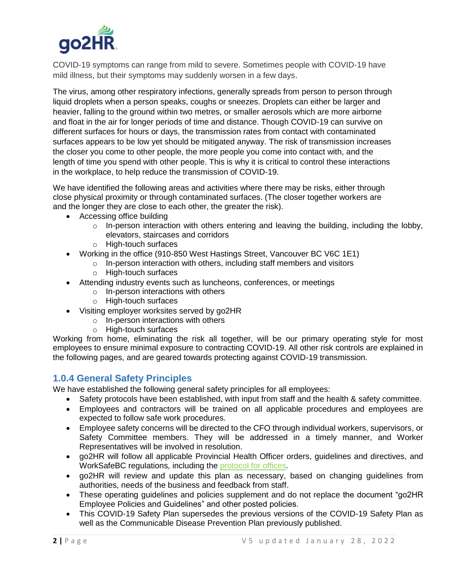

COVID-19 symptoms can range from mild to severe. Sometimes people with COVID-19 have mild illness, but their symptoms may suddenly worsen in a few days.

The virus, among other respiratory infections, generally spreads from person to person through liquid droplets when a person speaks, coughs or sneezes. Droplets can either be larger and heavier, falling to the ground within two metres, or smaller aerosols which are more airborne and float in the air for longer periods of time and distance. Though COVID-19 can survive on different surfaces for hours or days, the transmission rates from contact with contaminated surfaces appears to be low yet should be mitigated anyway. The risk of transmission increases the closer you come to other people, the more people you come into contact with, and the length of time you spend with other people. This is why it is critical to control these interactions in the workplace, to help reduce the transmission of COVID-19.

We have identified the following areas and activities where there may be risks, either through close physical proximity or through contaminated surfaces. (The closer together workers are and the longer they are close to each other, the greater the risk).

- Accessing office building
	- $\circ$  In-person interaction with others entering and leaving the building, including the lobby, elevators, staircases and corridors
	- o High-touch surfaces
- Working in the office (910-850 West Hastings Street, Vancouver BC V6C 1E1)
	- o In-person interaction with others, including staff members and visitors
		- o High-touch surfaces
- Attending industry events such as luncheons, conferences, or meetings
	- o In-person interactions with others
	- o High-touch surfaces
- Visiting employer worksites served by go2HR
	- o In-person interactions with others
	- o High-touch surfaces

Working from home, eliminating the risk all together, will be our primary operating style for most employees to ensure minimal exposure to contracting COVID-19. All other risk controls are explained in the following pages, and are geared towards protecting against COVID-19 transmission.

#### **1.0.4 General Safety Principles**

We have established the following general safety principles for all employees:

- Safety protocols have been established, with input from staff and the health & safety committee.
- Employees and contractors will be trained on all applicable procedures and employees are expected to follow safe work procedures.
- Employee safety concerns will be directed to the CFO through individual workers, supervisors, or Safety Committee members. They will be addressed in a timely manner, and Worker Representatives will be involved in resolution.
- go2HR will follow all applicable Provincial Health Officer orders, guidelines and directives, and WorkSafeBC regulations, including the [protocol for offices.](https://www.worksafebc.com/en/covid-19/industry-specific-information/offices)
- go2HR will review and update this plan as necessary, based on changing guidelines from authorities, needs of the business and feedback from staff.
- These operating guidelines and policies supplement and do not replace the document "go2HR Employee Policies and Guidelines" and other posted policies.
- This COVID-19 Safety Plan supersedes the previous versions of the COVID-19 Safety Plan as well as the Communicable Disease Prevention Plan previously published.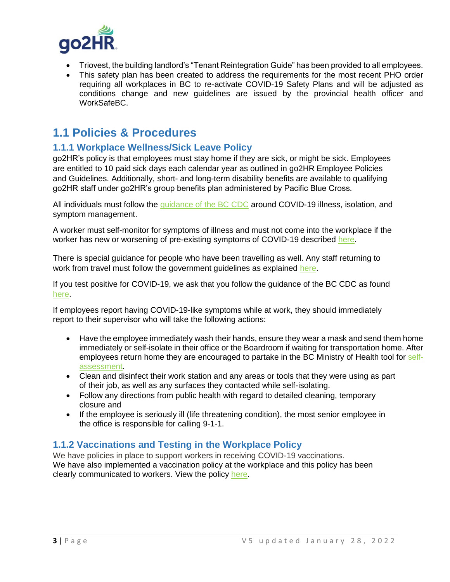

- Triovest, the building landlord's "Tenant Reintegration Guide" has been provided to all employees.
- This safety plan has been created to address the requirements for the most recent PHO order requiring all workplaces in BC to re-activate COVID-19 Safety Plans and will be adjusted as conditions change and new guidelines are issued by the provincial health officer and WorkSafeBC.

## **1.1 Policies & Procedures**

### **1.1.1 Workplace Wellness/Sick Leave Policy**

go2HR's policy is that employees must stay home if they are sick, or might be sick. Employees are entitled to 10 paid sick days each calendar year as outlined in go2HR Employee Policies and Guidelines. Additionally, short- and long-term disability benefits are available to qualifying go2HR staff under go2HR's group benefits plan administered by Pacific Blue Cross.

All individuals must follow the [guidance of the BC CDC](http://www.bccdc.ca/health-info/diseases-conditions/covid-19) around COVID-19 illness, isolation, and symptom management.

A worker must self-monitor for symptoms of illness and must not come into the workplace if the worker has new or worsening of pre-existing symptoms of COVID-19 described [here.](http://www.bccdc.ca/health-info/diseases-conditions/covid-19/about-covid-19/symptoms)

There is special guidance for people who have been travelling as well. Any staff returning to work from travel must follow the government guidelines as explained [here.](https://www2.gov.bc.ca/gov/content/covid-19/travel/current)

If you test positive for COVID-19, we ask that you follow the guidance of the BC CDC as found [here.](http://www.bccdc.ca/health-info/diseases-conditions/covid-19/if-you-have-covid-19)

If employees report having COVID-19-like symptoms while at work, they should immediately report to their supervisor who will take the following actions:

- Have the employee immediately wash their hands, ensure they wear a mask and send them home immediately or self-isolate in their office or the Boardroom if waiting for transportation home. After employees return home they are encouraged to partake in the BC Ministry of Health tool for [self](https://bc.thrive.health/covid19/en)[assessment.](https://bc.thrive.health/covid19/en)
- Clean and disinfect their work station and any areas or tools that they were using as part of their job, as well as any surfaces they contacted while self-isolating.
- Follow any directions from public health with regard to detailed cleaning, temporary closure and
- If the employee is seriously ill (life threatening condition), the most senior employee in the office is responsible for calling 9-1-1.

### **1.1.2 Vaccinations and Testing in the Workplace Policy**

We have policies in place to support workers in receiving COVID-19 vaccinations. We have also implemented a vaccination policy at the workplace and this policy has been clearly communicated to workers. View the policy [here.](file://///fileserver/corporate/General%20Office/Employee%20Policies/Covid-19%20Vaccination%20Policy%20-FINAL.DOCX)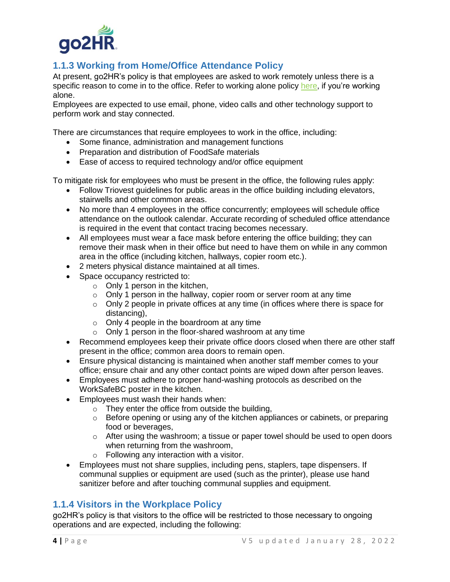

### **1.1.3 Working from Home/Office Attendance Policy**

At present, go2HR's policy is that employees are asked to work remotely unless there is a specific reason to come in to the office. Refer to working alone policy [here,](file://///fileserver/corporate/General%20Office/Employee%20Policies/Working%20from%20Home%20-%20Remote%20Working%20Policy%20-%202021.pdf) if you're working alone.

Employees are expected to use email, phone, video calls and other technology support to perform work and stay connected.

There are circumstances that require employees to work in the office, including:

- Some finance, administration and management functions
- Preparation and distribution of FoodSafe materials
- Ease of access to required technology and/or office equipment

To mitigate risk for employees who must be present in the office, the following rules apply:

- Follow Triovest guidelines for public areas in the office building including elevators, stairwells and other common areas.
- No more than 4 employees in the office concurrently; employees will schedule office attendance on the outlook calendar. Accurate recording of scheduled office attendance is required in the event that contact tracing becomes necessary.
- All employees must wear a face mask before entering the office building; they can remove their mask when in their office but need to have them on while in any common area in the office (including kitchen, hallways, copier room etc.).
- 2 meters physical distance maintained at all times.
- Space occupancy restricted to:
	- o Only 1 person in the kitchen,
	- o Only 1 person in the hallway, copier room or server room at any time
	- $\circ$  Only 2 people in private offices at any time (in offices where there is space for distancing),
	- o Only 4 people in the boardroom at any time
	- o Only 1 person in the floor-shared washroom at any time
- Recommend employees keep their private office doors closed when there are other staff present in the office; common area doors to remain open.
- Ensure physical distancing is maintained when another staff member comes to your office; ensure chair and any other contact points are wiped down after person leaves.
- Employees must adhere to proper hand-washing protocols as described on the WorkSafeBC poster in the kitchen.
- Employees must wash their hands when:
	- o They enter the office from outside the building,
	- $\circ$  Before opening or using any of the kitchen appliances or cabinets, or preparing food or beverages,
	- $\circ$  After using the washroom; a tissue or paper towel should be used to open doors when returning from the washroom,
	- o Following any interaction with a visitor.
- Employees must not share supplies, including pens, staplers, tape dispensers. If communal supplies or equipment are used (such as the printer), please use hand sanitizer before and after touching communal supplies and equipment.

### **1.1.4 Visitors in the Workplace Policy**

go2HR's policy is that visitors to the office will be restricted to those necessary to ongoing operations and are expected, including the following: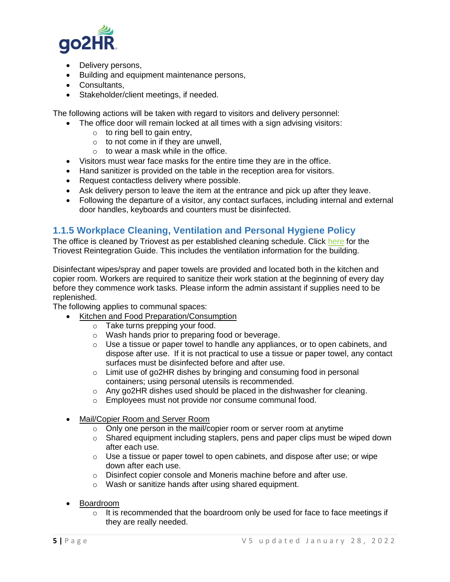

- Delivery persons,
- Building and equipment maintenance persons,
- Consultants,
- Stakeholder/client meetings, if needed.

The following actions will be taken with regard to visitors and delivery personnel:

- The office door will remain locked at all times with a sign advising visitors:
	- $\circ$  to ring bell to gain entry,
	- $\circ$  to not come in if they are unwell,
	- $\circ$  to wear a mask while in the office.
- Visitors must wear face masks for the entire time they are in the office.
- Hand sanitizer is provided on the table in the reception area for visitors.
- Request contactless delivery where possible.
- Ask delivery person to leave the item at the entrance and pick up after they leave.
- Following the departure of a visitor, any contact surfaces, including internal and external door handles, keyboards and counters must be disinfected.

#### **1.1.5 Workplace Cleaning, Ventilation and Personal Hygiene Policy**

The office is cleaned by Triovest as per established cleaning schedule. Click [here](file://///fileserver/corporate/go2HR%20Staff%20Committees/go2HR%20Health%20&%20Safety%20Committee/H&S%202021-22/Working%20Files/850%20West%20Hastings%20-%20Triovest%20Tenant%20Reintegration%20Guide.pdf) for the Triovest Reintegration Guide. This includes the ventilation information for the building.

Disinfectant wipes/spray and paper towels are provided and located both in the kitchen and copier room. Workers are required to sanitize their work station at the beginning of every day before they commence work tasks. Please inform the admin assistant if supplies need to be replenished.

The following applies to communal spaces:

- Kitchen and Food Preparation/Consumption
	- o Take turns prepping your food.
	- o Wash hands prior to preparing food or beverage.
	- o Use a tissue or paper towel to handle any appliances, or to open cabinets, and dispose after use. If it is not practical to use a tissue or paper towel, any contact surfaces must be disinfected before and after use.
	- o Limit use of go2HR dishes by bringing and consuming food in personal containers; using personal utensils is recommended.
	- o Any go2HR dishes used should be placed in the dishwasher for cleaning.
	- o Employees must not provide nor consume communal food.
- Mail/Copier Room and Server Room
	- o Only one person in the mail/copier room or server room at anytime
	- $\circ$  Shared equipment including staplers, pens and paper clips must be wiped down after each use.
	- o Use a tissue or paper towel to open cabinets, and dispose after use; or wipe down after each use.
	- o Disinfect copier console and Moneris machine before and after use.
	- o Wash or sanitize hands after using shared equipment.
- Boardroom
	- $\circ$  It is recommended that the boardroom only be used for face to face meetings if they are really needed.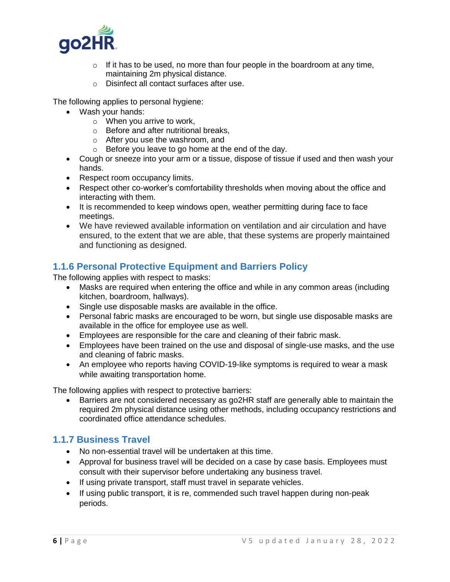

- $\circ$  If it has to be used, no more than four people in the boardroom at any time, maintaining 2m physical distance.
- o Disinfect all contact surfaces after use.

The following applies to personal hygiene:

- Wash your hands:
	- o When you arrive to work,
	- o Before and after nutritional breaks,
	- o After you use the washroom, and
	- o Before you leave to go home at the end of the day.
- Cough or sneeze into your arm or a tissue, dispose of tissue if used and then wash your hands.
- Respect room occupancy limits.
- Respect other co-worker's comfortability thresholds when moving about the office and interacting with them.
- It is recommended to keep windows open, weather permitting during face to face meetings.
- We have reviewed available information on ventilation and air circulation and have ensured, to the extent that we are able, that these systems are properly maintained and functioning as designed.

### **1.1.6 Personal Protective Equipment and Barriers Policy**

The following applies with respect to masks:

- Masks are required when entering the office and while in any common areas (including kitchen, boardroom, hallways).
- Single use disposable masks are available in the office.
- Personal fabric masks are encouraged to be worn, but single use disposable masks are available in the office for employee use as well.
- Employees are responsible for the care and cleaning of their fabric mask.
- Employees have been trained on the use and disposal of single-use masks, and the use and cleaning of fabric masks.
- An employee who reports having COVID-19-like symptoms is required to wear a mask while awaiting transportation home.

The following applies with respect to protective barriers:

• Barriers are not considered necessary as go2HR staff are generally able to maintain the required 2m physical distance using other methods, including occupancy restrictions and coordinated office attendance schedules.

### **1.1.7 Business Travel**

- No non-essential travel will be undertaken at this time.
- Approval for business travel will be decided on a case by case basis. Employees must consult with their supervisor before undertaking any business travel.
- If using private transport, staff must travel in separate vehicles.
- If using public transport, it is re, commended such travel happen during non-peak periods.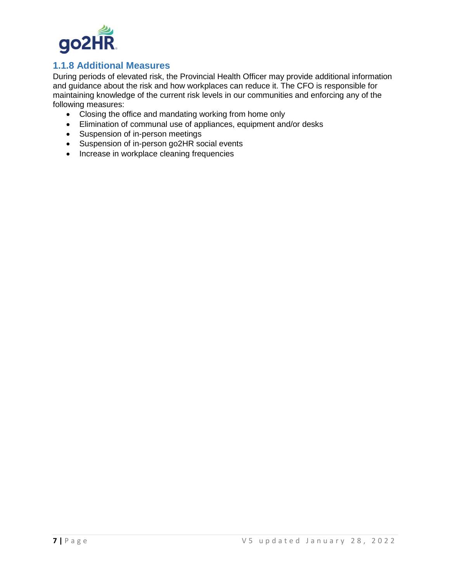

### **1.1.8 Additional Measures**

During periods of elevated risk, the Provincial Health Officer may provide additional information and guidance about the risk and how workplaces can reduce it. The CFO is responsible for maintaining knowledge of the current risk levels in our communities and enforcing any of the following measures:

- Closing the office and mandating working from home only
- Elimination of communal use of appliances, equipment and/or desks
- Suspension of in-person meetings
- Suspension of in-person go2HR social events
- Increase in workplace cleaning frequencies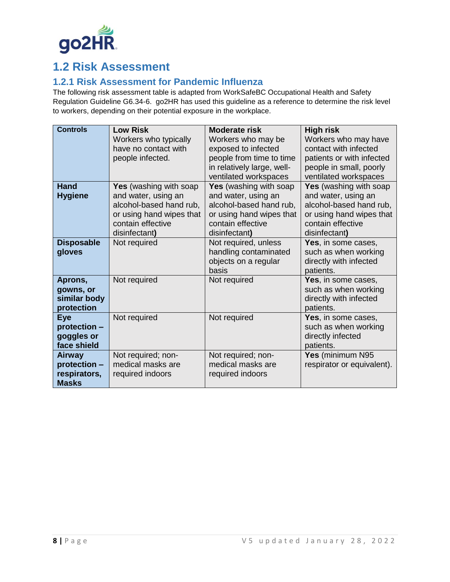

# **1.2 Risk Assessment**

### **1.2.1 Risk Assessment for Pandemic Influenza**

The following risk assessment table is adapted from WorkSafeBC Occupational Health and Safety Regulation Guideline G6.34-6. go2HR has used this guideline as a reference to determine the risk level to workers, depending on their potential exposure in the workplace.

| <b>Controls</b>            | <b>Low Risk</b>               | Moderate risk                                       | <b>High risk</b>                                 |
|----------------------------|-------------------------------|-----------------------------------------------------|--------------------------------------------------|
|                            | Workers who typically         | Workers who may be                                  | Workers who may have                             |
|                            | have no contact with          | exposed to infected                                 | contact with infected                            |
|                            | people infected.              | people from time to time                            | patients or with infected                        |
|                            |                               | in relatively large, well-<br>ventilated workspaces | people in small, poorly<br>ventilated workspaces |
| Hand                       | <b>Yes</b> (washing with soap | <b>Yes</b> (washing with soap                       | <b>Yes</b> (washing with soap                    |
| <b>Hygiene</b>             | and water, using an           | and water, using an                                 | and water, using an                              |
|                            | alcohol-based hand rub,       | alcohol-based hand rub,                             | alcohol-based hand rub,                          |
|                            | or using hand wipes that      | or using hand wipes that                            | or using hand wipes that                         |
|                            | contain effective             | contain effective                                   | contain effective                                |
|                            | disinfectant)                 | disinfectant)                                       | disinfectant)                                    |
| <b>Disposable</b>          | Not required                  | Not required, unless                                | Yes, in some cases,                              |
| gloves                     |                               | handling contaminated                               | such as when working                             |
|                            |                               | objects on a regular                                | directly with infected                           |
|                            |                               | basis                                               | patients.                                        |
| Aprons,                    | Not required                  | Not required                                        | Yes, in some cases,                              |
| gowns, or                  |                               |                                                     | such as when working                             |
| similar body               |                               |                                                     | directly with infected                           |
| protection                 |                               |                                                     | patients.                                        |
| <b>Eye</b><br>protection - | Not required                  | Not required                                        | Yes, in some cases,<br>such as when working      |
| goggles or                 |                               |                                                     | directly infected                                |
| face shield                |                               |                                                     | patients.                                        |
| <b>Airway</b>              | Not required; non-            | Not required; non-                                  | Yes (minimum N95                                 |
| protection -               | medical masks are             | medical masks are                                   | respirator or equivalent).                       |
| respirators,               | required indoors              | required indoors                                    |                                                  |
| <b>Masks</b>               |                               |                                                     |                                                  |